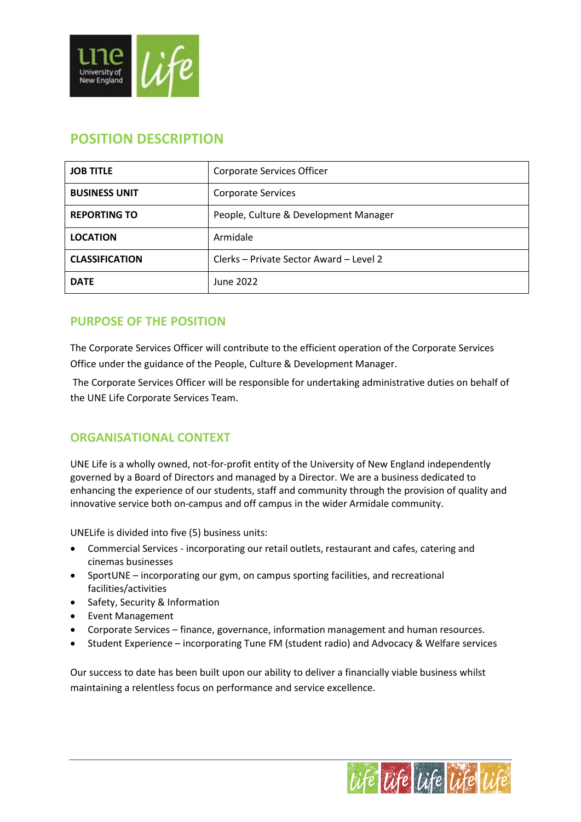

| <b>JOB TITLE</b>      | Corporate Services Officer              |  |
|-----------------------|-----------------------------------------|--|
| <b>BUSINESS UNIT</b>  | <b>Corporate Services</b>               |  |
| <b>REPORTING TO</b>   | People, Culture & Development Manager   |  |
| <b>LOCATION</b>       | Armidale                                |  |
| <b>CLASSIFICATION</b> | Clerks – Private Sector Award – Level 2 |  |
| <b>DATE</b>           | June 2022                               |  |

# **POSITION DESCRIPTION**

## **PURPOSE OF THE POSITION**

The Corporate Services Officer will contribute to the efficient operation of the Corporate Services Office under the guidance of the People, Culture & Development Manager.

The Corporate Services Officer will be responsible for undertaking administrative duties on behalf of the UNE Life Corporate Services Team.

### **ORGANISATIONAL CONTEXT**

UNE Life is a wholly owned, not-for-profit entity of the University of New England independently governed by a Board of Directors and managed by a Director. We are a business dedicated to enhancing the experience of our students, staff and community through the provision of quality and innovative service both on-campus and off campus in the wider Armidale community.

UNELife is divided into five (5) business units:

- Commercial Services incorporating our retail outlets, restaurant and cafes, catering and cinemas businesses
- SportUNE incorporating our gym, on campus sporting facilities, and recreational facilities/activities
- Safety, Security & Information
- Event Management
- Corporate Services finance, governance, information management and human resources.
- Student Experience incorporating Tune FM (student radio) and Advocacy & Welfare services

Our success to date has been built upon our ability to deliver a financially viable business whilst maintaining a relentless focus on performance and service excellence.

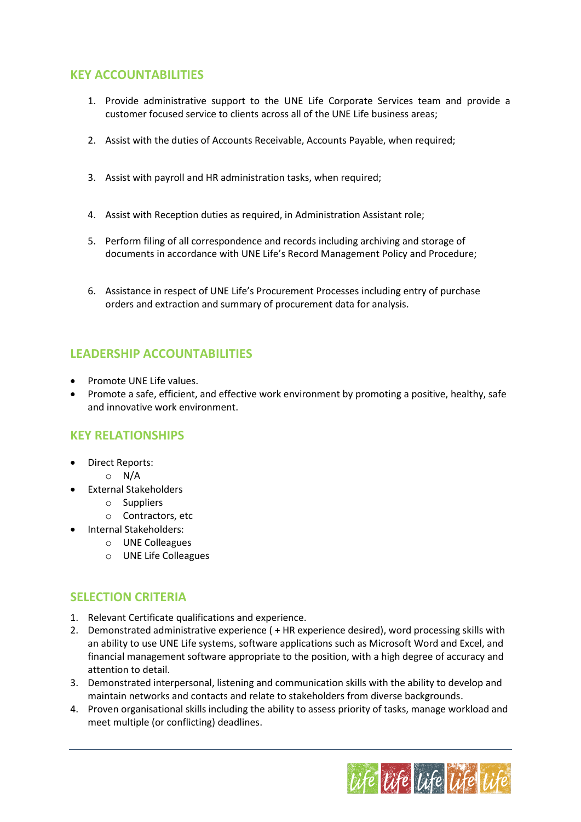#### **KEY ACCOUNTABILITIES**

- 1. Provide administrative support to the UNE Life Corporate Services team and provide a customer focused service to clients across all of the UNE Life business areas;
- 2. Assist with the duties of Accounts Receivable, Accounts Payable, when required;
- 3. Assist with payroll and HR administration tasks, when required;
- 4. Assist with Reception duties as required, in Administration Assistant role;
- 5. Perform filing of all correspondence and records including archiving and storage of documents in accordance with UNE Life's Record Management Policy and Procedure;
- 6. Assistance in respect of UNE Life's Procurement Processes including entry of purchase orders and extraction and summary of procurement data for analysis.

## **LEADERSHIP ACCOUNTABILITIES**

- Promote UNE Life values.
- Promote a safe, efficient, and effective work environment by promoting a positive, healthy, safe and innovative work environment.

### **KEY RELATIONSHIPS**

- Direct Reports:
	- $\circ$  N/A
- External Stakeholders
	- o Suppliers
	- o Contractors, etc
- Internal Stakeholders:
	- o UNE Colleagues
	- o UNE Life Colleagues

### **SELECTION CRITERIA**

- 1. Relevant Certificate qualifications and experience.
- 2. Demonstrated administrative experience ( + HR experience desired), word processing skills with an ability to use UNE Life systems, software applications such as Microsoft Word and Excel, and financial management software appropriate to the position, with a high degree of accuracy and attention to detail.
- 3. Demonstrated interpersonal, listening and communication skills with the ability to develop and maintain networks and contacts and relate to stakeholders from diverse backgrounds.
- 4. Proven organisational skills including the ability to assess priority of tasks, manage workload and meet multiple (or conflicting) deadlines.